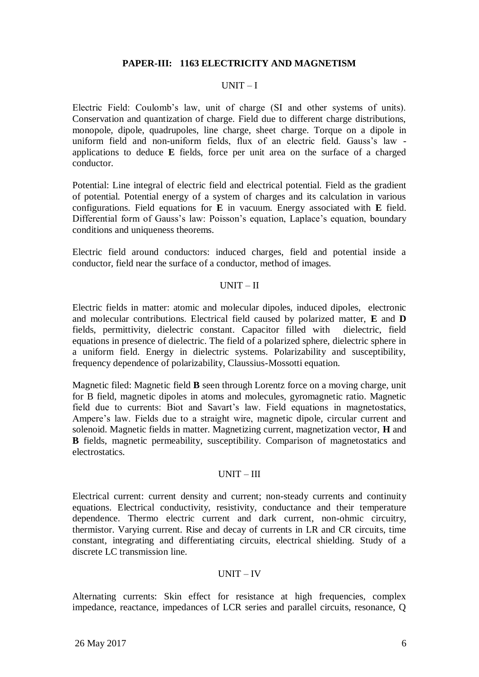# **PAPER-III: 1163 ELECTRICITY AND MAGNETISM**

#### $IINT - I$

Electric Field: Coulomb"s law, unit of charge (SI and other systems of units). Conservation and quantization of charge. Field due to different charge distributions, monopole, dipole, quadrupoles, line charge, sheet charge. Torque on a dipole in uniform field and non-uniform fields, flux of an electric field. Gauss's law applications to deduce **E** fields, force per unit area on the surface of a charged conductor.

Potential: Line integral of electric field and electrical potential. Field as the gradient of potential. Potential energy of a system of charges and its calculation in various configurations. Field equations for **E** in vacuum. Energy associated with **E** field. Differential form of Gauss's law: Poisson's equation, Laplace's equation, boundary conditions and uniqueness theorems.

Electric field around conductors: induced charges, field and potential inside a conductor, field near the surface of a conductor, method of images.

### $UNIT - II$

Electric fields in matter: atomic and molecular dipoles, induced dipoles, electronic and molecular contributions. Electrical field caused by polarized matter, **E** and **D**  fields, permittivity, dielectric constant. Capacitor filled with dielectric, field equations in presence of dielectric. The field of a polarized sphere, dielectric sphere in a uniform field. Energy in dielectric systems. Polarizability and susceptibility, frequency dependence of polarizability, Claussius-Mossotti equation.

Magnetic filed: Magnetic field **B** seen through Lorentz force on a moving charge, unit for B field, magnetic dipoles in atoms and molecules, gyromagnetic ratio. Magnetic field due to currents: Biot and Savart's law. Field equations in magnetostatics, Ampere"s law. Fields due to a straight wire, magnetic dipole, circular current and solenoid. Magnetic fields in matter. Magnetizing current, magnetization vector, **H** and **B** fields, magnetic permeability, susceptibility. Comparison of magnetostatics and electrostatics.

### UNIT – III

Electrical current: current density and current; non-steady currents and continuity equations. Electrical conductivity, resistivity, conductance and their temperature dependence. Thermo electric current and dark current, non-ohmic circuitry, thermistor. Varying current. Rise and decay of currents in LR and CR circuits, time constant, integrating and differentiating circuits, electrical shielding. Study of a discrete LC transmission line.

### UNIT – IV

Alternating currents: Skin effect for resistance at high frequencies, complex impedance, reactance, impedances of LCR series and parallel circuits, resonance, Q